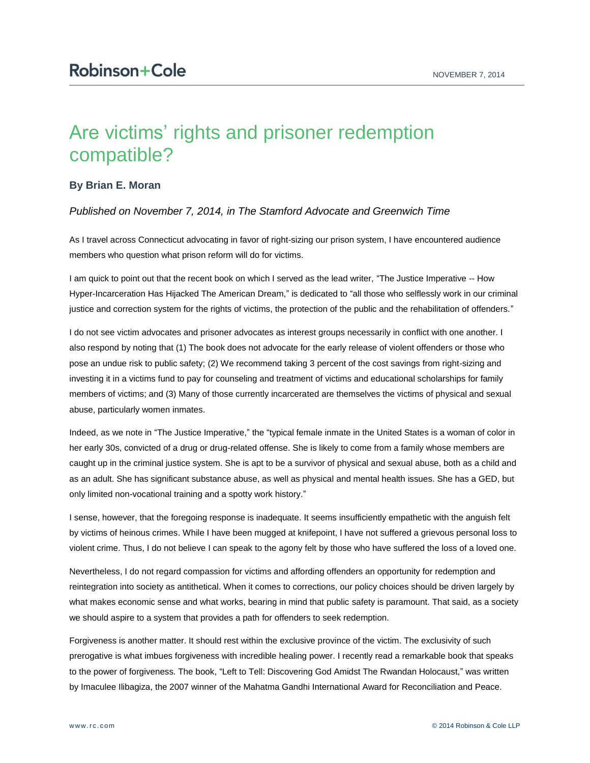## Are victims' rights and prisoner redemption compatible?

## **By Brian E. Moran**

## *Published on November 7, 2014, in The Stamford Advocate and Greenwich Time*

As I travel across Connecticut advocating in favor of right-sizing our prison system, I have encountered audience members who question what prison reform will do for victims.

I am quick to point out that the recent book on which I served as the lead writer, "The Justice Imperative -- How Hyper-Incarceration Has Hijacked The American Dream," is dedicated to "all those who selflessly work in our criminal justice and correction system for the rights of victims, the protection of the public and the rehabilitation of offenders."

I do not see victim advocates and prisoner advocates as interest groups necessarily in conflict with one another. I also respond by noting that (1) The book does not advocate for the early release of violent offenders or those who pose an undue risk to public safety; (2) We recommend taking 3 percent of the cost savings from right-sizing and investing it in a victims fund to pay for counseling and treatment of victims and educational scholarships for family members of victims; and (3) Many of those currently incarcerated are themselves the victims of physical and sexual abuse, particularly women inmates.

Indeed, as we note in "The Justice Imperative," the "typical female inmate in the United States is a woman of color in her early 30s, convicted of a drug or drug-related offense. She is likely to come from a family whose members are caught up in the criminal justice system. She is apt to be a survivor of physical and sexual abuse, both as a child and as an adult. She has significant substance abuse, as well as physical and mental health issues. She has a GED, but only limited non-vocational training and a spotty work history."

I sense, however, that the foregoing response is inadequate. It seems insufficiently empathetic with the anguish felt by victims of heinous crimes. While I have been mugged at knifepoint, I have not suffered a grievous personal loss to violent crime. Thus, I do not believe I can speak to the agony felt by those who have suffered the loss of a loved one.

Nevertheless, I do not regard compassion for victims and affording offenders an opportunity for redemption and reintegration into society as antithetical. When it comes to corrections, our policy choices should be driven largely by what makes economic sense and what works, bearing in mind that public safety is paramount. That said, as a society we should aspire to a system that provides a path for offenders to seek redemption.

Forgiveness is another matter. It should rest within the exclusive province of the victim. The exclusivity of such prerogative is what imbues forgiveness with incredible healing power. I recently read a remarkable book that speaks to the power of forgiveness. The book, "Left to Tell: Discovering God Amidst The Rwandan Holocaust," was written by Imaculee Ilibagiza, the 2007 winner of the Mahatma Gandhi International Award for Reconciliation and Peace.